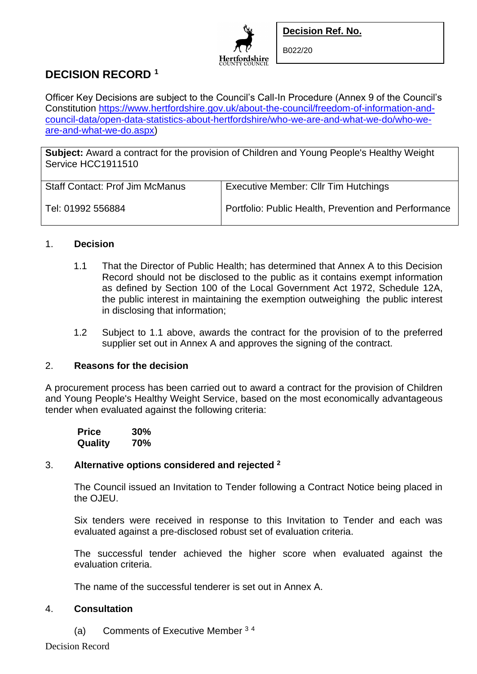

B022/20

# **DECISION RECORD <sup>1</sup>**

Officer Key Decisions are subject to the Council's Call-In Procedure (Annex 9 of the Council's Constitution [https://www.hertfordshire.gov.uk/about-the-council/freedom-of-information-and](https://www.hertfordshire.gov.uk/about-the-council/freedom-of-information-and-council-data/open-data-statistics-about-hertfordshire/who-we-are-and-what-we-do/who-we-are-and-what-we-do.aspx)[council-data/open-data-statistics-about-hertfordshire/who-we-are-and-what-we-do/who-we](https://www.hertfordshire.gov.uk/about-the-council/freedom-of-information-and-council-data/open-data-statistics-about-hertfordshire/who-we-are-and-what-we-do/who-we-are-and-what-we-do.aspx)[are-and-what-we-do.aspx\)](https://www.hertfordshire.gov.uk/about-the-council/freedom-of-information-and-council-data/open-data-statistics-about-hertfordshire/who-we-are-and-what-we-do/who-we-are-and-what-we-do.aspx)

**Hertfordshire** 

**Subject:** Award a contract for the provision of Children and Young People's Healthy Weight Service HCC1911510

| <b>Staff Contact: Prof Jim McManus</b> | <b>Executive Member: Cllr Tim Hutchings</b>          |
|----------------------------------------|------------------------------------------------------|
| Tel: 01992 556884                      | Portfolio: Public Health, Prevention and Performance |

### 1. **Decision**

- 1.1 That the Director of Public Health; has determined that Annex A to this Decision Record should not be disclosed to the public as it contains exempt information as defined by Section 100 of the Local Government Act 1972, Schedule 12A, the public interest in maintaining the exemption outweighing the public interest in disclosing that information;
- 1.2 Subject to 1.1 above, awards the contract for the provision of to the preferred supplier set out in Annex A and approves the signing of the contract.

### 2. **Reasons for the decision**

A procurement process has been carried out to award a contract for the provision of Children and Young People's Healthy Weight Service, based on the most economically advantageous tender when evaluated against the following criteria:

| <b>Price</b> | 30% |
|--------------|-----|
| Quality      | 70% |

## 3. **Alternative options considered and rejected <sup>2</sup>**

The Council issued an Invitation to Tender following a Contract Notice being placed in the OJEU.

Six tenders were received in response to this Invitation to Tender and each was evaluated against a pre-disclosed robust set of evaluation criteria.

The successful tender achieved the higher score when evaluated against the evaluation criteria.

The name of the successful tenderer is set out in Annex A.

## 4. **Consultation**

(a) Comments of Executive Member <sup>3</sup> <sup>4</sup>